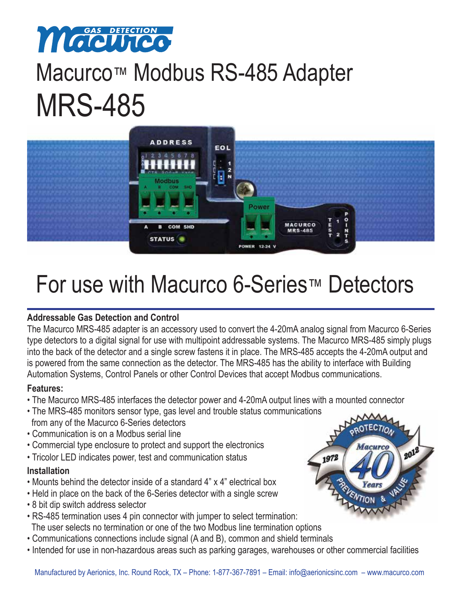

# Macurco™ Modbus RS-485 Adapter MRS-485



## For use with Macurco 6-Series™ Detectors

## **Addressable Gas Detection and Control**

The Macurco MRS-485 adapter is an accessory used to convert the 4-20mA analog signal from Macurco 6-Series type detectors to a digital signal for use with multipoint addressable systems. The Macurco MRS-485 simply plugs into the back of the detector and a single screw fastens it in place. The MRS-485 accepts the 4-20mA output and is powered from the same connection as the detector. The MRS-485 has the ability to interface with Building Automation Systems, Control Panels or other Control Devices that accept Modbus communications.

## **Features:**

- The Macurco MRS-485 interfaces the detector power and 4-20mA output lines with a mounted connector
- The MRS-485 monitors sensor type, gas level and trouble status communications from any of the Macurco 6-Series detectors
- Communication is on a Modbus serial line
- Commercial type enclosure to protect and support the electronics
- Tricolor LED indicates power, test and communication status

## **Installation**

- Mounts behind the detector inside of a standard 4" x 4" electrical box
- Held in place on the back of the 6-Series detector with a single screw
- 8 bit dip switch address selector
- RS-485 termination uses 4 pin connector with jumper to select termination: The user selects no termination or one of the two Modbus line termination options
- Communications connections include signal (A and B), common and shield terminals
- Intended for use in non-hazardous areas such as parking garages, warehouses or other commercial facilities